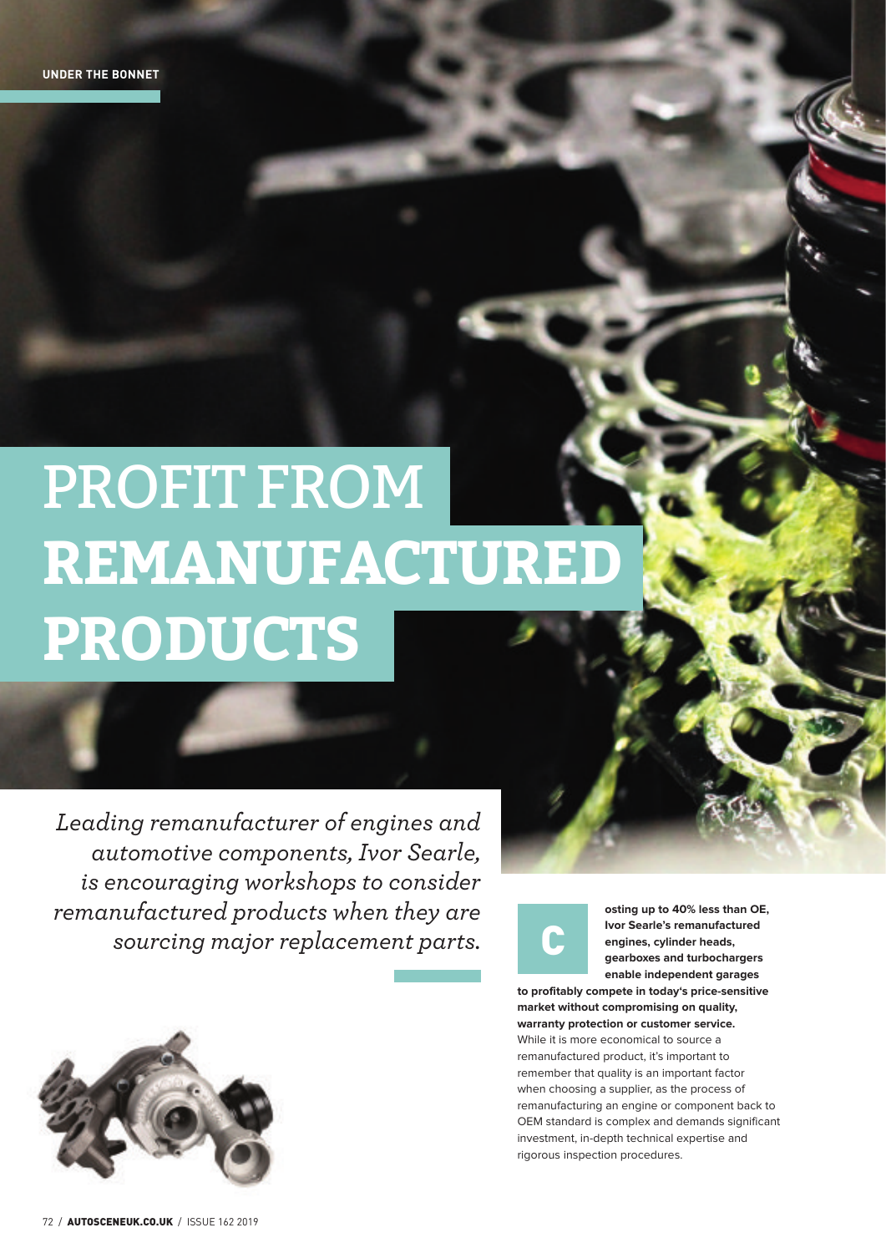## PROFIT FROM **REMANUFACTURED PRODUCTS**

*Leading remanufacturer of engines and automotive components, Ivor Searle, is encouraging workshops to consider remanufactured products when they are sourcing major replacement parts.* 



**osting up to 40% less than OE, Ivor Searle's remanufactured engines, cylinder heads, gearboxes and turbochargers enable independent garages** 

**to profitably compete in today's price-sensitive market without compromising on quality, warranty protection or customer service.** While it is more economical to source a remanufactured product, it's important to remember that quality is an important factor when choosing a supplier, as the process of remanufacturing an engine or component back to OEM standard is complex and demands significant investment, in-depth technical expertise and rigorous inspection procedures.